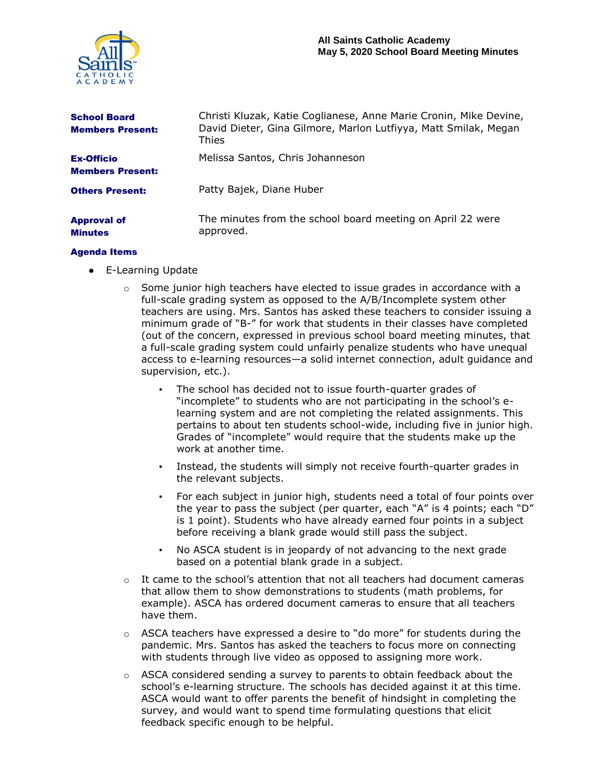

| <b>School Board</b><br><b>Members Present:</b> | Christi Kluzak, Katie Coglianese, Anne Marie Cronin, Mike Devine,<br>David Dieter, Gina Gilmore, Marlon Lutfiyya, Matt Smilak, Megan<br>Thies |
|------------------------------------------------|-----------------------------------------------------------------------------------------------------------------------------------------------|
| <b>Ex-Officio</b><br><b>Members Present:</b>   | Melissa Santos, Chris Johanneson                                                                                                              |
| <b>Others Present:</b>                         | Patty Bajek, Diane Huber                                                                                                                      |
| <b>Approval of</b><br><b>Minutes</b>           | The minutes from the school board meeting on April 22 were<br>approved.                                                                       |

## Agenda Items

- E-Learning Update
	- $\circ$  Some junior high teachers have elected to issue grades in accordance with a full-scale grading system as opposed to the A/B/Incomplete system other teachers are using. Mrs. Santos has asked these teachers to consider issuing a minimum grade of "B-" for work that students in their classes have completed (out of the concern, expressed in previous school board meeting minutes, that a full-scale grading system could unfairly penalize students who have unequal access to e-learning resources—a solid internet connection, adult guidance and supervision, etc.).
		- The school has decided not to issue fourth-quarter grades of "incomplete" to students who are not participating in the school's elearning system and are not completing the related assignments. This pertains to about ten students school-wide, including five in junior high. Grades of "incomplete" would require that the students make up the work at another time.
		- Instead, the students will simply not receive fourth-quarter grades in the relevant subjects.
		- For each subject in junior high, students need a total of four points over the year to pass the subject (per quarter, each "A" is 4 points; each "D" is 1 point). Students who have already earned four points in a subject before receiving a blank grade would still pass the subject.
		- No ASCA student is in jeopardy of not advancing to the next grade based on a potential blank grade in a subject.
	- $\circ$  It came to the school's attention that not all teachers had document cameras that allow them to show demonstrations to students (math problems, for example). ASCA has ordered document cameras to ensure that all teachers have them.
	- $\circ$  ASCA teachers have expressed a desire to "do more" for students during the pandemic. Mrs. Santos has asked the teachers to focus more on connecting with students through live video as opposed to assigning more work.
	- o ASCA considered sending a survey to parents to obtain feedback about the school's e-learning structure. The schools has decided against it at this time. ASCA would want to offer parents the benefit of hindsight in completing the survey, and would want to spend time formulating questions that elicit feedback specific enough to be helpful.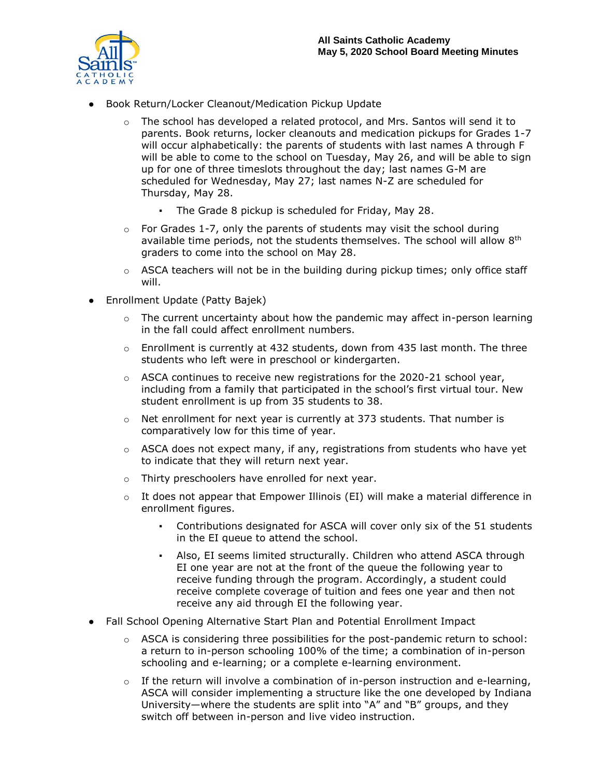

- Book Return/Locker Cleanout/Medication Pickup Update
	- $\circ$  The school has developed a related protocol, and Mrs. Santos will send it to parents. Book returns, locker cleanouts and medication pickups for Grades 1-7 will occur alphabetically: the parents of students with last names A through F will be able to come to the school on Tuesday, May 26, and will be able to sign up for one of three timeslots throughout the day; last names G-M are scheduled for Wednesday, May 27; last names N-Z are scheduled for Thursday, May 28.
		- The Grade 8 pickup is scheduled for Friday, May 28.
	- $\circ$  For Grades 1-7, only the parents of students may visit the school during available time periods, not the students themselves. The school will allow 8<sup>th</sup> graders to come into the school on May 28.
	- o ASCA teachers will not be in the building during pickup times; only office staff will.
- Enrollment Update (Patty Bajek)
	- $\circ$  The current uncertainty about how the pandemic may affect in-person learning in the fall could affect enrollment numbers.
	- $\circ$  Enrollment is currently at 432 students, down from 435 last month. The three students who left were in preschool or kindergarten.
	- $\circ$  ASCA continues to receive new registrations for the 2020-21 school year, including from a family that participated in the school's first virtual tour. New student enrollment is up from 35 students to 38.
	- $\circ$  Net enrollment for next year is currently at 373 students. That number is comparatively low for this time of year.
	- $\circ$  ASCA does not expect many, if any, registrations from students who have yet to indicate that they will return next year.
	- o Thirty preschoolers have enrolled for next year.
	- o It does not appear that Empower Illinois (EI) will make a material difference in enrollment figures.
		- Contributions designated for ASCA will cover only six of the 51 students in the EI queue to attend the school.
		- Also, EI seems limited structurally. Children who attend ASCA through EI one year are not at the front of the queue the following year to receive funding through the program. Accordingly, a student could receive complete coverage of tuition and fees one year and then not receive any aid through EI the following year.
- Fall School Opening Alternative Start Plan and Potential Enrollment Impact
	- $\circ$  ASCA is considering three possibilities for the post-pandemic return to school: a return to in-person schooling 100% of the time; a combination of in-person schooling and e-learning; or a complete e-learning environment.
	- $\circ$  If the return will involve a combination of in-person instruction and e-learning, ASCA will consider implementing a structure like the one developed by Indiana University—where the students are split into "A" and "B" groups, and they switch off between in-person and live video instruction.